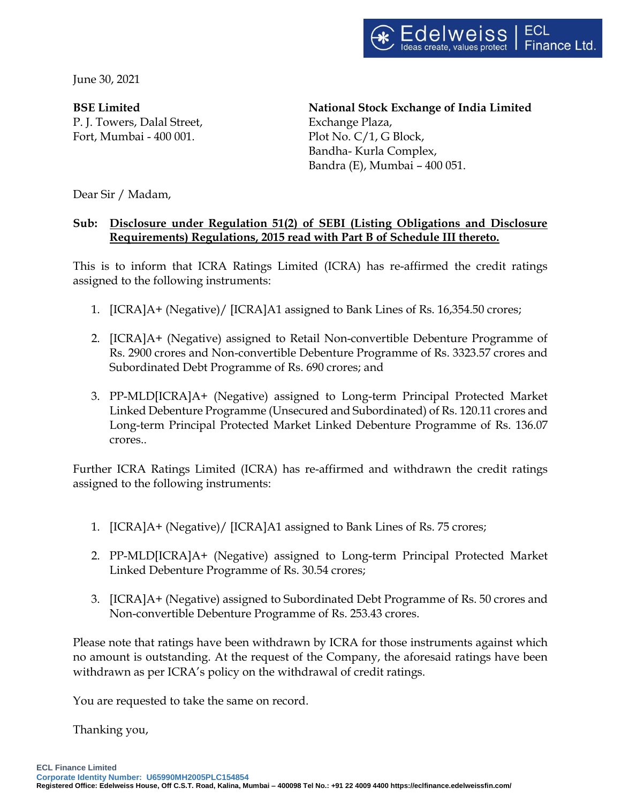June 30, 2021

**BSE Limited** P. J. Towers, Dalal Street, Fort, Mumbai - 400 001.

**National Stock Exchange of India Limited** Exchange Plaza, Plot No. C/1, G Block, Bandha- Kurla Complex, Bandra (E), Mumbai – 400 051.

Dear Sir / Madam,

## **Sub: Disclosure under Regulation 51(2) of SEBI (Listing Obligations and Disclosure Requirements) Regulations, 2015 read with Part B of Schedule III thereto.**

This is to inform that ICRA Ratings Limited (ICRA) has re-affirmed the credit ratings assigned to the following instruments:

- 1. [ICRA]A+ (Negative)/ [ICRA]A1 assigned to Bank Lines of Rs. 16,354.50 crores;
- 2. [ICRA]A+ (Negative) assigned to Retail Non-convertible Debenture Programme of Rs. 2900 crores and Non-convertible Debenture Programme of Rs. 3323.57 crores and Subordinated Debt Programme of Rs. 690 crores; and
- 3. PP-MLD[ICRA]A+ (Negative) assigned to Long-term Principal Protected Market Linked Debenture Programme (Unsecured and Subordinated) of Rs. 120.11 crores and Long-term Principal Protected Market Linked Debenture Programme of Rs. 136.07 crores..

Further ICRA Ratings Limited (ICRA) has re-affirmed and withdrawn the credit ratings assigned to the following instruments:

- 1. [ICRA]A+ (Negative)/ [ICRA]A1 assigned to Bank Lines of Rs. 75 crores;
- 2. PP-MLD[ICRA]A+ (Negative) assigned to Long-term Principal Protected Market Linked Debenture Programme of Rs. 30.54 crores;
- 3. [ICRA]A+ (Negative) assigned to Subordinated Debt Programme of Rs. 50 crores and Non-convertible Debenture Programme of Rs. 253.43 crores.

Please note that ratings have been withdrawn by ICRA for those instruments against which no amount is outstanding. At the request of the Company, the aforesaid ratings have been withdrawn as per ICRA's policy on the withdrawal of credit ratings.

You are requested to take the same on record.

Thanking you,